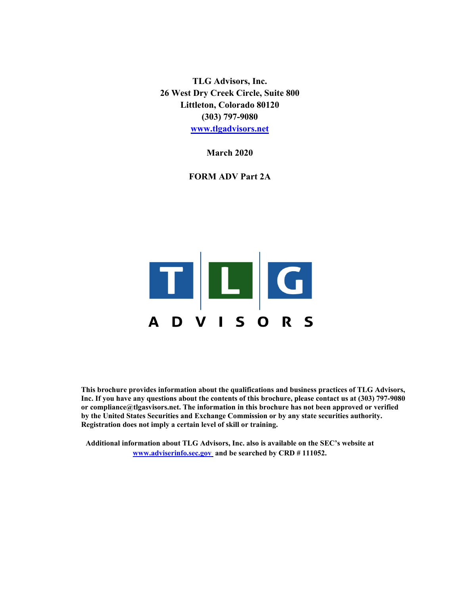**TLG Advisors, Inc. 26 West Dry Creek Circle, Suite 800 Littleton, Colorado 80120 (303) 797-9080 www.tlgadvisors.net** 

**March 2020** 

**FORM ADV Part 2A** 



**This brochure provides information about the qualifications and business practices of TLG Advisors, Inc. If you have any questions about the contents of this brochure, please contact us at (303) 797-9080 or compliance@tlgasvisors.net. The information in this brochure has not been approved or verified by the United States Securities and Exchange Commission or by any state securities authority. Registration does not imply a certain level of skill or training.**

**Additional information about TLG Advisors, Inc. also is available on the SEC's website at www.adviserinfo.sec.gov and be searched by CRD # 111052.**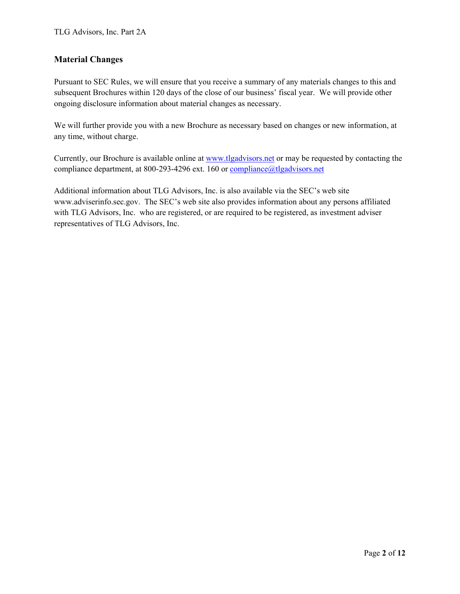# **Material Changes**

Pursuant to SEC Rules, we will ensure that you receive a summary of any materials changes to this and subsequent Brochures within 120 days of the close of our business' fiscal year. We will provide other ongoing disclosure information about material changes as necessary.

We will further provide you with a new Brochure as necessary based on changes or new information, at any time, without charge.

Currently, our Brochure is available online at www.tlgadvisors.net or may be requested by contacting the compliance department, at 800-293-4296 ext. 160 or compliance@tlgadvisors.net

Additional information about TLG Advisors, Inc. is also available via the SEC's web site www.adviserinfo.sec.gov. The SEC's web site also provides information about any persons affiliated with TLG Advisors, Inc. who are registered, or are required to be registered, as investment adviser representatives of TLG Advisors, Inc.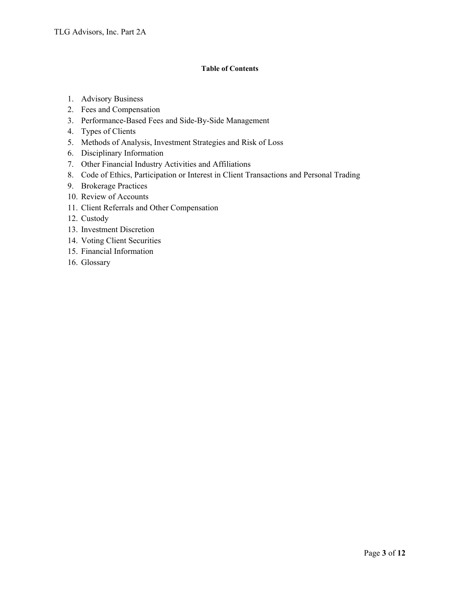## **Table of Contents**

- 1. Advisory Business
- 2. Fees and Compensation
- 3. Performance-Based Fees and Side-By-Side Management
- 4. Types of Clients
- 5. Methods of Analysis, Investment Strategies and Risk of Loss
- 6. Disciplinary Information
- 7. Other Financial Industry Activities and Affiliations
- 8. Code of Ethics, Participation or Interest in Client Transactions and Personal Trading
- 9. Brokerage Practices
- 10. Review of Accounts
- 11. Client Referrals and Other Compensation
- 12. Custody
- 13. Investment Discretion
- 14. Voting Client Securities
- 15. Financial Information
- 16. Glossary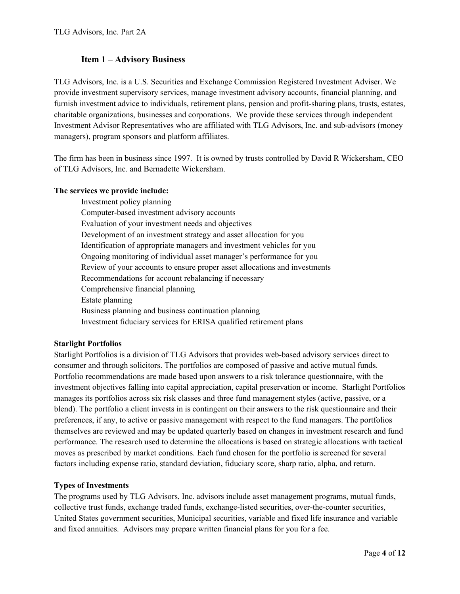# **Item 1 – Advisory Business**

TLG Advisors, Inc. is a U.S. Securities and Exchange Commission Registered Investment Adviser. We provide investment supervisory services, manage investment advisory accounts, financial planning, and furnish investment advice to individuals, retirement plans, pension and profit-sharing plans, trusts, estates, charitable organizations, businesses and corporations. We provide these services through independent Investment Advisor Representatives who are affiliated with TLG Advisors, Inc. and sub-advisors (money managers), program sponsors and platform affiliates.

The firm has been in business since 1997. It is owned by trusts controlled by David R Wickersham, CEO of TLG Advisors, Inc. and Bernadette Wickersham.

## **The services we provide include:**

 Investment policy planning Computer-based investment advisory accounts Evaluation of your investment needs and objectives Development of an investment strategy and asset allocation for you Identification of appropriate managers and investment vehicles for you Ongoing monitoring of individual asset manager's performance for you Review of your accounts to ensure proper asset allocations and investments Recommendations for account rebalancing if necessary Comprehensive financial planning Estate planning Business planning and business continuation planning Investment fiduciary services for ERISA qualified retirement plans

## **Starlight Portfolios**

Starlight Portfolios is a division of TLG Advisors that provides web-based advisory services direct to consumer and through solicitors. The portfolios are composed of passive and active mutual funds. Portfolio recommendations are made based upon answers to a risk tolerance questionnaire, with the investment objectives falling into capital appreciation, capital preservation or income. Starlight Portfolios manages its portfolios across six risk classes and three fund management styles (active, passive, or a blend). The portfolio a client invests in is contingent on their answers to the risk questionnaire and their preferences, if any, to active or passive management with respect to the fund managers. The portfolios themselves are reviewed and may be updated quarterly based on changes in investment research and fund performance. The research used to determine the allocations is based on strategic allocations with tactical moves as prescribed by market conditions. Each fund chosen for the portfolio is screened for several factors including expense ratio, standard deviation, fiduciary score, sharp ratio, alpha, and return.

## **Types of Investments**

The programs used by TLG Advisors, Inc. advisors include asset management programs, mutual funds, collective trust funds, exchange traded funds, exchange-listed securities, over-the-counter securities, United States government securities, Municipal securities, variable and fixed life insurance and variable and fixed annuities. Advisors may prepare written financial plans for you for a fee.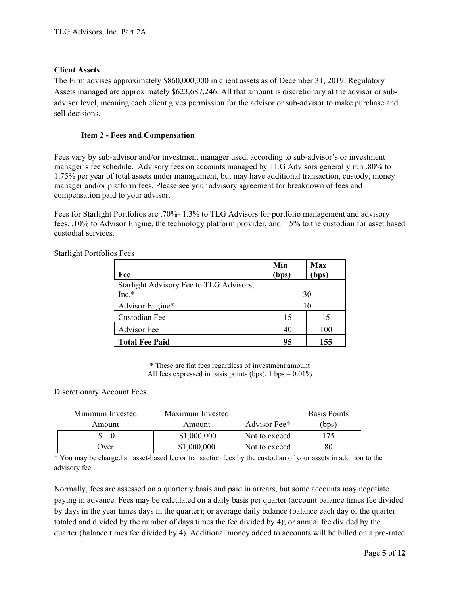## **Client Assets**

The Firm advises approximately \$860,000,000 in client assets as of December 31, 2019. Regulatory Assets managed are approximately \$623,687,246. All that amount is discretionary at the advisor or subadvisor level, meaning each client gives permission for the advisor or sub-advisor to make purchase and sell decisions.

## **Item 2 - Fees and Compensation**

Fees vary by sub-advisor and/or investment manager used, according to sub-advisor's or investment manager's fee schedule. Advisory fees on accounts managed by TLG Advisors generally run .80% to 1.75% per year of total assets under management, but may have additional transaction, custody, money manager and/or platform fees. Please see your advisory agreement for breakdown of fees and compensation paid to your advisor.

Fees for Starlight Portfolios are .70%- 1.3% to TLG Advisors for portfolio management and advisory fees, .10% to Advisor Engine, the technology platform provider, and .15% to the custodian for asset based custodial services.

| Fee                                     | Min<br>(bps) | <b>Max</b><br>(bps) |
|-----------------------------------------|--------------|---------------------|
| Starlight Advisory Fee to TLG Advisors, |              |                     |
| Inc.*                                   | 30           |                     |
| Advisor Engine*                         |              | 10                  |
| Custodian Fee                           | 15           | 15                  |
| <b>Advisor</b> Fee                      | 40           | 100                 |
| <b>Total Fee Paid</b>                   | 95           | 155                 |

Starlight Portfolios Fees

\* These are flat fees regardless of investment amount All fees expressed in basis points (bps). 1 bps =  $0.01\%$ 

## Discretionary Account Fees

| Minimum Invested | Maximum Invested |               | <b>Basis Points</b> |
|------------------|------------------|---------------|---------------------|
| Amount           | Amount           | Advisor Fee*  | (bps)               |
|                  | \$1,000,000      | Not to exceed | 175                 |
| Over)            | \$1,000,000      | Not to exceed |                     |

\* You may be charged an asset-based fee or transaction fees by the custodian of your assets in addition to the advisory fee

Normally, fees are assessed on a quarterly basis and paid in arrears, but some accounts may negotiate paying in advance. Fees may be calculated on a daily basis per quarter (account balance times fee divided by days in the year times days in the quarter); or average daily balance (balance each day of the quarter totaled and divided by the number of days times the fee divided by 4); or annual fee divided by the quarter (balance times fee divided by 4). Additional money added to accounts will be billed on a pro-rated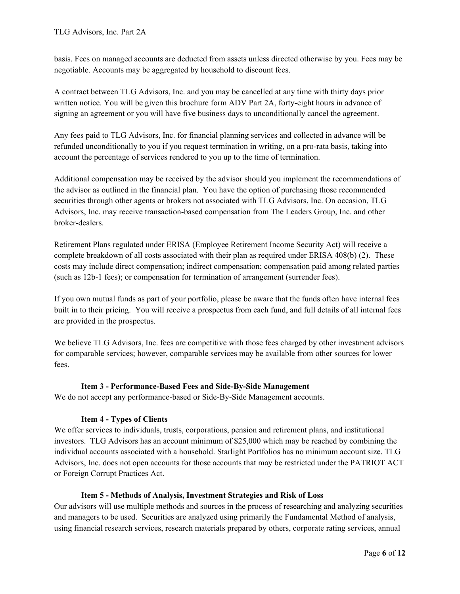basis. Fees on managed accounts are deducted from assets unless directed otherwise by you. Fees may be negotiable. Accounts may be aggregated by household to discount fees.

A contract between TLG Advisors, Inc. and you may be cancelled at any time with thirty days prior written notice. You will be given this brochure form ADV Part 2A, forty-eight hours in advance of signing an agreement or you will have five business days to unconditionally cancel the agreement.

Any fees paid to TLG Advisors, Inc. for financial planning services and collected in advance will be refunded unconditionally to you if you request termination in writing, on a pro-rata basis, taking into account the percentage of services rendered to you up to the time of termination.

Additional compensation may be received by the advisor should you implement the recommendations of the advisor as outlined in the financial plan. You have the option of purchasing those recommended securities through other agents or brokers not associated with TLG Advisors, Inc. On occasion, TLG Advisors, Inc. may receive transaction-based compensation from The Leaders Group, Inc. and other broker-dealers.

Retirement Plans regulated under ERISA (Employee Retirement Income Security Act) will receive a complete breakdown of all costs associated with their plan as required under ERISA 408(b) (2). These costs may include direct compensation; indirect compensation; compensation paid among related parties (such as 12b-1 fees); or compensation for termination of arrangement (surrender fees).

If you own mutual funds as part of your portfolio, please be aware that the funds often have internal fees built in to their pricing. You will receive a prospectus from each fund, and full details of all internal fees are provided in the prospectus.

We believe TLG Advisors, Inc. fees are competitive with those fees charged by other investment advisors for comparable services; however, comparable services may be available from other sources for lower fees.

## **Item 3 - Performance-Based Fees and Side-By-Side Management**

We do not accept any performance-based or Side-By-Side Management accounts.

## **Item 4 - Types of Clients**

We offer services to individuals, trusts, corporations, pension and retirement plans, and institutional investors. TLG Advisors has an account minimum of \$25,000 which may be reached by combining the individual accounts associated with a household. Starlight Portfolios has no minimum account size. TLG Advisors, Inc. does not open accounts for those accounts that may be restricted under the PATRIOT ACT or Foreign Corrupt Practices Act.

## **Item 5 - Methods of Analysis, Investment Strategies and Risk of Loss**

Our advisors will use multiple methods and sources in the process of researching and analyzing securities and managers to be used. Securities are analyzed using primarily the Fundamental Method of analysis, using financial research services, research materials prepared by others, corporate rating services, annual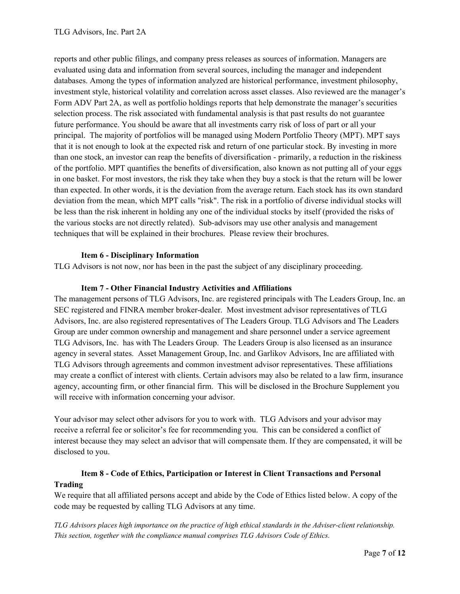reports and other public filings, and company press releases as sources of information. Managers are evaluated using data and information from several sources, including the manager and independent databases. Among the types of information analyzed are historical performance, investment philosophy, investment style, historical volatility and correlation across asset classes. Also reviewed are the manager's Form ADV Part 2A, as well as portfolio holdings reports that help demonstrate the manager's securities selection process. The risk associated with fundamental analysis is that past results do not guarantee future performance. You should be aware that all investments carry risk of loss of part or all your principal. The majority of portfolios will be managed using Modern Portfolio Theory (MPT). MPT says that it is not enough to look at the expected risk and return of one particular stock. By investing in more than one stock, an investor can reap the benefits of diversification - primarily, a reduction in the riskiness of the portfolio. MPT quantifies the benefits of diversification, also known as not putting all of your eggs in one basket. For most investors, the risk they take when they buy a stock is that the return will be lower than expected. In other words, it is the deviation from the average return. Each stock has its own standard deviation from the mean, which MPT calls "risk". The risk in a portfolio of diverse individual stocks will be less than the risk inherent in holding any one of the individual stocks by itself (provided the risks of the various stocks are not directly related). Sub-advisors may use other analysis and management techniques that will be explained in their brochures. Please review their brochures.

## **Item 6 - Disciplinary Information**

TLG Advisors is not now, nor has been in the past the subject of any disciplinary proceeding.

## **Item 7 - Other Financial Industry Activities and Affiliations**

The management persons of TLG Advisors, Inc. are registered principals with The Leaders Group, Inc. an SEC registered and FINRA member broker-dealer. Most investment advisor representatives of TLG Advisors, Inc. are also registered representatives of The Leaders Group. TLG Advisors and The Leaders Group are under common ownership and management and share personnel under a service agreement TLG Advisors, Inc. has with The Leaders Group. The Leaders Group is also licensed as an insurance agency in several states. Asset Management Group, Inc. and Garlikov Advisors, Inc are affiliated with TLG Advisors through agreements and common investment advisor representatives. These affiliations may create a conflict of interest with clients. Certain advisors may also be related to a law firm, insurance agency, accounting firm, or other financial firm. This will be disclosed in the Brochure Supplement you will receive with information concerning your advisor.

Your advisor may select other advisors for you to work with. TLG Advisors and your advisor may receive a referral fee or solicitor's fee for recommending you. This can be considered a conflict of interest because they may select an advisor that will compensate them. If they are compensated, it will be disclosed to you.

# **Item 8 - Code of Ethics, Participation or Interest in Client Transactions and Personal Trading**

We require that all affiliated persons accept and abide by the Code of Ethics listed below. A copy of the code may be requested by calling TLG Advisors at any time.

*TLG Advisors places high importance on the practice of high ethical standards in the Adviser-client relationship. This section, together with the compliance manual comprises TLG Advisors Code of Ethics.*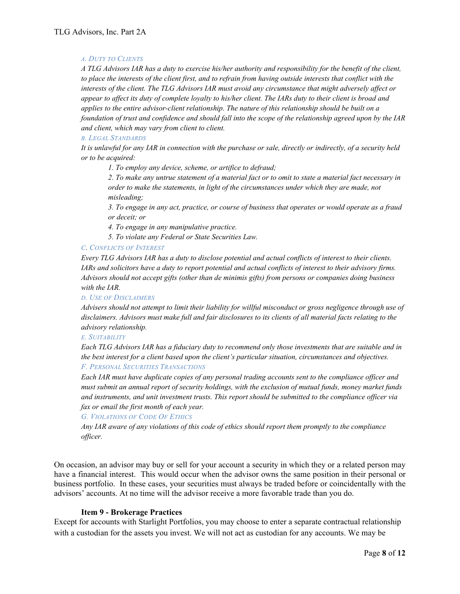#### *A. DUTY TO CLIENTS*

*A TLG Advisors IAR has a duty to exercise his/her authority and responsibility for the benefit of the client, to place the interests of the client first, and to refrain from having outside interests that conflict with the interests of the client. The TLG Advisors IAR must avoid any circumstance that might adversely affect or appear to affect its duty of complete loyalty to his/her client. The IARs duty to their client is broad and applies to the entire advisor-client relationship. The nature of this relationship should be built on a foundation of trust and confidence and should fall into the scope of the relationship agreed upon by the IAR and client, which may vary from client to client.* 

## *B. LEGAL STANDARDS*

*It is unlawful for any IAR in connection with the purchase or sale, directly or indirectly, of a security held or to be acquired:* 

*1. To employ any device, scheme, or artifice to defraud;* 

*2. To make any untrue statement of a material fact or to omit to state a material fact necessary in order to make the statements, in light of the circumstances under which they are made, not misleading;* 

*3. To engage in any act, practice, or course of business that operates or would operate as a fraud or deceit; or* 

*4. To engage in any manipulative practice.* 

*5. To violate any Federal or State Securities Law.* 

#### *C. CONFLICTS OF INTEREST*

*Every TLG Advisors IAR has a duty to disclose potential and actual conflicts of interest to their clients. IARs and solicitors have a duty to report potential and actual conflicts of interest to their advisory firms. Advisors should not accept gifts (other than de minimis gifts) from persons or companies doing business with the IAR.* 

*D. USE OF DISCLAIMERS*

*Advisers should not attempt to limit their liability for willful misconduct or gross negligence through use of disclaimers. Advisors must make full and fair disclosures to its clients of all material facts relating to the advisory relationship.* 

*E. SUITABILITY*

*Each TLG Advisors IAR has a fiduciary duty to recommend only those investments that are suitable and in the best interest for a client based upon the client's particular situation, circumstances and objectives. F. PERSONAL SECURITIES TRANSACTIONS*

*Each IAR must have duplicate copies of any personal trading accounts sent to the compliance officer and must submit an annual report of security holdings, with the exclusion of mutual funds, money market funds and instruments, and unit investment trusts. This report should be submitted to the compliance officer via fax or email the first month of each year.* 

#### *G. VIOLATIONS OF CODE OF ETHICS*

*Any IAR aware of any violations of this code of ethics should report them promptly to the compliance officer.* 

On occasion, an advisor may buy or sell for your account a security in which they or a related person may have a financial interest. This would occur when the advisor owns the same position in their personal or business portfolio. In these cases, your securities must always be traded before or coincidentally with the advisors' accounts. At no time will the advisor receive a more favorable trade than you do.

#### **Item 9 - Brokerage Practices**

Except for accounts with Starlight Portfolios, you may choose to enter a separate contractual relationship with a custodian for the assets you invest. We will not act as custodian for any accounts. We may be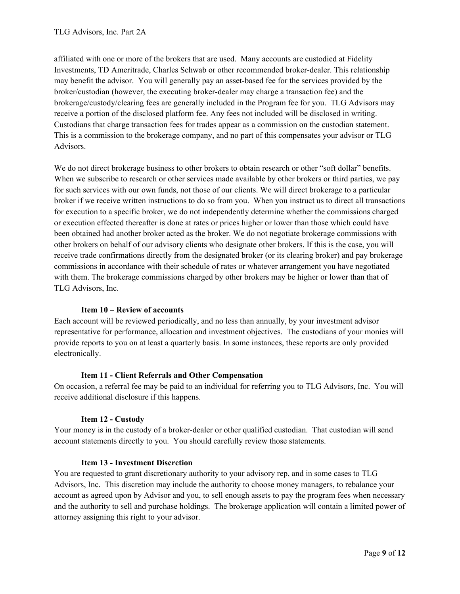affiliated with one or more of the brokers that are used. Many accounts are custodied at Fidelity Investments, TD Ameritrade, Charles Schwab or other recommended broker-dealer. This relationship may benefit the advisor. You will generally pay an asset-based fee for the services provided by the broker/custodian (however, the executing broker-dealer may charge a transaction fee) and the brokerage/custody/clearing fees are generally included in the Program fee for you. TLG Advisors may receive a portion of the disclosed platform fee. Any fees not included will be disclosed in writing. Custodians that charge transaction fees for trades appear as a commission on the custodian statement. This is a commission to the brokerage company, and no part of this compensates your advisor or TLG Advisors.

We do not direct brokerage business to other brokers to obtain research or other "soft dollar" benefits. When we subscribe to research or other services made available by other brokers or third parties, we pay for such services with our own funds, not those of our clients. We will direct brokerage to a particular broker if we receive written instructions to do so from you. When you instruct us to direct all transactions for execution to a specific broker, we do not independently determine whether the commissions charged or execution effected thereafter is done at rates or prices higher or lower than those which could have been obtained had another broker acted as the broker. We do not negotiate brokerage commissions with other brokers on behalf of our advisory clients who designate other brokers. If this is the case, you will receive trade confirmations directly from the designated broker (or its clearing broker) and pay brokerage commissions in accordance with their schedule of rates or whatever arrangement you have negotiated with them. The brokerage commissions charged by other brokers may be higher or lower than that of TLG Advisors, Inc.

## **Item 10 – Review of accounts**

Each account will be reviewed periodically, and no less than annually, by your investment advisor representative for performance, allocation and investment objectives. The custodians of your monies will provide reports to you on at least a quarterly basis. In some instances, these reports are only provided electronically.

## **Item 11 - Client Referrals and Other Compensation**

On occasion, a referral fee may be paid to an individual for referring you to TLG Advisors, Inc. You will receive additional disclosure if this happens.

## **Item 12 - Custody**

Your money is in the custody of a broker-dealer or other qualified custodian. That custodian will send account statements directly to you. You should carefully review those statements.

## **Item 13 - Investment Discretion**

You are requested to grant discretionary authority to your advisory rep, and in some cases to TLG Advisors, Inc. This discretion may include the authority to choose money managers, to rebalance your account as agreed upon by Advisor and you, to sell enough assets to pay the program fees when necessary and the authority to sell and purchase holdings. The brokerage application will contain a limited power of attorney assigning this right to your advisor.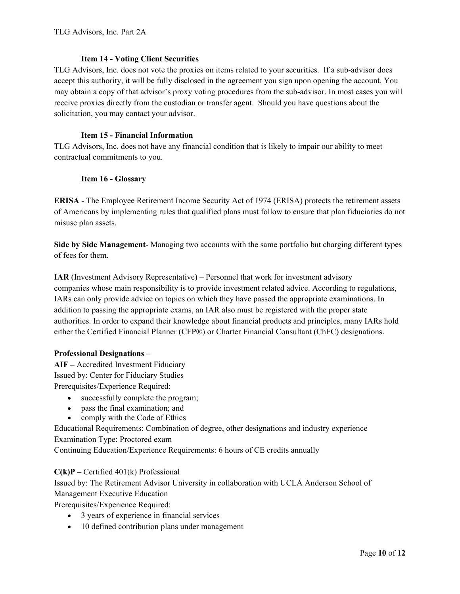## **Item 14 - Voting Client Securities**

TLG Advisors, Inc. does not vote the proxies on items related to your securities. If a sub-advisor does accept this authority, it will be fully disclosed in the agreement you sign upon opening the account. You may obtain a copy of that advisor's proxy voting procedures from the sub-advisor. In most cases you will receive proxies directly from the custodian or transfer agent. Should you have questions about the solicitation, you may contact your advisor.

## **Item 15 - Financial Information**

TLG Advisors, Inc. does not have any financial condition that is likely to impair our ability to meet contractual commitments to you.

## **Item 16 - Glossary**

**ERISA** - The Employee Retirement Income Security Act of 1974 (ERISA) protects the retirement assets of Americans by implementing rules that qualified plans must follow to ensure that plan fiduciaries do not misuse plan assets.

**Side by Side Management**- Managing two accounts with the same portfolio but charging different types of fees for them.

**IAR** (Investment Advisory Representative) – Personnel that work for investment advisory companies whose main responsibility is to provide investment related advice. According to regulations, IARs can only provide advice on topics on which they have passed the appropriate examinations. In addition to passing the appropriate exams, an IAR also must be registered with the proper state authorities. In order to expand their knowledge about financial products and principles, many IARs hold either the Certified Financial Planner (CFP®) or Charter Financial Consultant (ChFC) designations.

## **Professional Designations** –

**AIF –** Accredited Investment Fiduciary Issued by: Center for Fiduciary Studies Prerequisites/Experience Required:

- successfully complete the program;
- pass the final examination; and
- comply with the Code of Ethics

Educational Requirements: Combination of degree, other designations and industry experience Examination Type: Proctored exam Continuing Education/Experience Requirements: 6 hours of CE credits annually

## **C(k)P –** Certified 401(k) Professional

Issued by: The Retirement Advisor University in collaboration with UCLA Anderson School of Management Executive Education

Prerequisites/Experience Required:

- 3 years of experience in financial services
- 10 defined contribution plans under management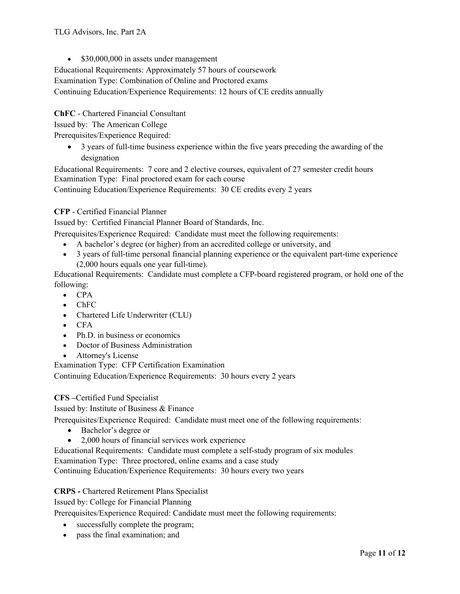• \$30,000,000 in assets under management

Educational Requirements: Approximately 57 hours of coursework

Examination Type: Combination of Online and Proctored exams

Continuing Education/Experience Requirements: 12 hours of CE credits annually

**ChFC** - Chartered Financial Consultant

Issued by: The American College

Prerequisites/Experience Required:

 3 years of full-time business experience within the five years preceding the awarding of the designation

Educational Requirements: 7 core and 2 elective courses, equivalent of 27 semester credit hours Examination Type: Final proctored exam for each course

Continuing Education/Experience Requirements: 30 CE credits every 2 years

## **CFP** - Certified Financial Planner

Issued by: Certified Financial Planner Board of Standards, Inc.

Prerequisites/Experience Required: Candidate must meet the following requirements:

- A bachelor's degree (or higher) from an accredited college or university, and
- 3 years of full-time personal financial planning experience or the equivalent part-time experience (2,000 hours equals one year full-time).

Educational Requirements: Candidate must complete a CFP-board registered program, or hold one of the following:

- $\bullet$  CPA
- ChFC
- Chartered Life Underwriter (CLU)
- $\bullet$  CFA
- Ph.D. in business or economics
- Doctor of Business Administration
- Attorney's License

Examination Type: CFP Certification Examination

Continuing Education/Experience Requirements: 30 hours every 2 years

## **CFS –**Certified Fund Specialist

Issued by: Institute of Business & Finance

Prerequisites/Experience Required: Candidate must meet one of the following requirements:

- Bachelor's degree or
- 2,000 hours of financial services work experience

Educational Requirements: Candidate must complete a self-study program of six modules Examination Type: Three proctored, online exams and a case study

Continuing Education/Experience Requirements: 30 hours every two years

## **CRPS -** Chartered Retirement Plans Specialist

Issued by: College for Financial Planning

Prerequisites/Experience Required: Candidate must meet the following requirements:

- successfully complete the program;
- pass the final examination; and